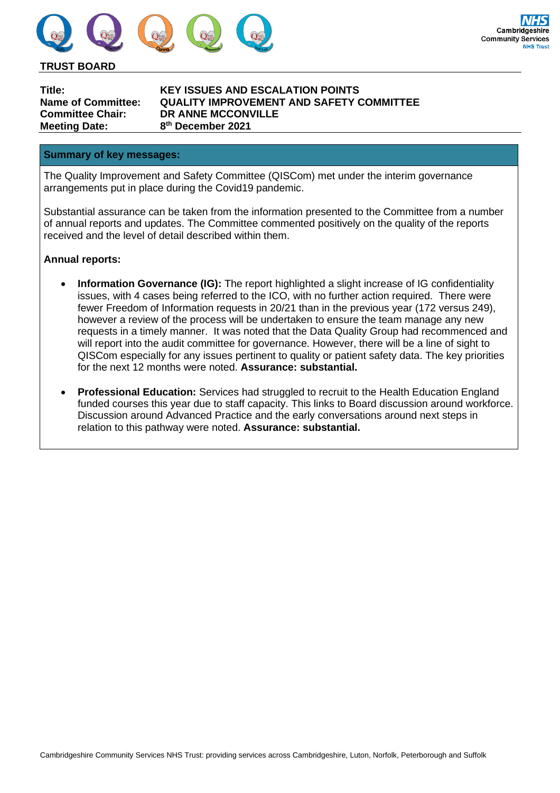

**TRUST BOARD**

**Meeting Date: 8**

**Title: KEY ISSUES AND ESCALATION POINTS Name of Committee: QUALITY IMPROVEMENT AND SAFETY COMMITTEE Committee Chair: DR ANNE MCCONVILLE th December 2021**

#### **Summary of key messages:**

The Quality Improvement and Safety Committee (QISCom) met under the interim governance arrangements put in place during the Covid19 pandemic.

Substantial assurance can be taken from the information presented to the Committee from a number of annual reports and updates. The Committee commented positively on the quality of the reports received and the level of detail described within them.

### **Annual reports:**

- **Information Governance (IG):** The report highlighted a slight increase of IG confidentiality issues, with 4 cases being referred to the ICO, with no further action required. There were fewer Freedom of Information requests in 20/21 than in the previous year (172 versus 249), however a review of the process will be undertaken to ensure the team manage any new requests in a timely manner. It was noted that the Data Quality Group had recommenced and will report into the audit committee for governance. However, there will be a line of sight to QISCom especially for any issues pertinent to quality or patient safety data. The key priorities for the next 12 months were noted. **Assurance: substantial.**
- **Professional Education:** Services had struggled to recruit to the Health Education England funded courses this year due to staff capacity. This links to Board discussion around workforce. Discussion around Advanced Practice and the early conversations around next steps in relation to this pathway were noted. **Assurance: substantial.**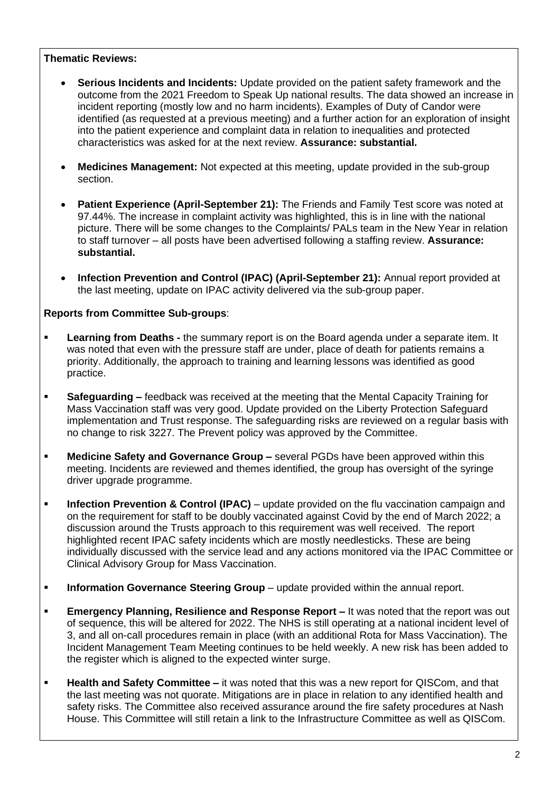### **Thematic Reviews:**

- **Serious Incidents and Incidents:** Update provided on the patient safety framework and the outcome from the 2021 Freedom to Speak Up national results. The data showed an increase in incident reporting (mostly low and no harm incidents). Examples of Duty of Candor were identified (as requested at a previous meeting) and a further action for an exploration of insight into the patient experience and complaint data in relation to inequalities and protected characteristics was asked for at the next review. **Assurance: substantial.**
- **Medicines Management:** Not expected at this meeting, update provided in the sub-group section.
- **Patient Experience (April-September 21):** The Friends and Family Test score was noted at 97.44%. The increase in complaint activity was highlighted, this is in line with the national picture. There will be some changes to the Complaints/ PALs team in the New Year in relation to staff turnover – all posts have been advertised following a staffing review. **Assurance: substantial.**
- **Infection Prevention and Control (IPAC) (April-September 21):** Annual report provided at the last meeting, update on IPAC activity delivered via the sub-group paper.

### **Reports from Committee Sub-groups**:

- **Learning from Deaths -** the summary report is on the Board agenda under a separate item. It was noted that even with the pressure staff are under, place of death for patients remains a priority. Additionally, the approach to training and learning lessons was identified as good practice.
- **Safeguarding –** feedback was received at the meeting that the Mental Capacity Training for Mass Vaccination staff was very good. Update provided on the Liberty Protection Safeguard implementation and Trust response. The safeguarding risks are reviewed on a regular basis with no change to risk 3227. The Prevent policy was approved by the Committee.
- **Medicine Safety and Governance Group –** several PGDs have been approved within this meeting. Incidents are reviewed and themes identified, the group has oversight of the syringe driver upgrade programme.
- **Infection Prevention & Control (IPAC)** update provided on the flu vaccination campaign and on the requirement for staff to be doubly vaccinated against Covid by the end of March 2022; a discussion around the Trusts approach to this requirement was well received. The report highlighted recent IPAC safety incidents which are mostly needlesticks. These are being individually discussed with the service lead and any actions monitored via the IPAC Committee or Clinical Advisory Group for Mass Vaccination.
- **Information Governance Steering Group** update provided within the annual report.
- **Emergency Planning, Resilience and Response Report –** It was noted that the report was out of sequence, this will be altered for 2022. The NHS is still operating at a national incident level of 3, and all on-call procedures remain in place (with an additional Rota for Mass Vaccination). The Incident Management Team Meeting continues to be held weekly. A new risk has been added to the register which is aligned to the expected winter surge.
- **Health and Safety Committee –** it was noted that this was a new report for QISCom, and that the last meeting was not quorate. Mitigations are in place in relation to any identified health and safety risks. The Committee also received assurance around the fire safety procedures at Nash House. This Committee will still retain a link to the Infrastructure Committee as well as QISCom.